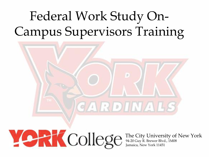# Federal Work Study On-Campus Supervisors Training



Jamaica, New York 11451

 The City University of New York 94-20 Guy R. Brewer Blvd., 1M08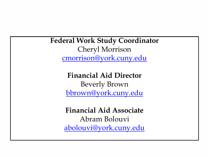**Federal Work Study Coordinator**  Cheryl Morrison [cmorrison@york.cuny.edu](mailto:cmorrison@york.cuny.edu)

> **Financial Aid Director**  Beverly Brown [bbrown@york.cuny.edu](mailto:bbrown@york.cuny.edu)

**Financial Aid Associate**  Abram Bolouvi [abolouvi@york.cuny.edu](mailto:abolouvi@york.cuny.edu)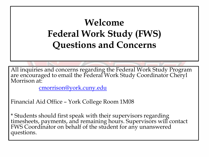### **Welcome Federal Work Study (FWS) Questions and Concerns**

All inquiries and concerns regarding the Federal Work Study Program are encouraged to email the Federal Work Study Coordinator Cheryl Morrison at:

[cmorrison@york.cuny.edu](mailto:cmorrison@york.cuny.edu)

Financial Aid Office – York College Room 1M08

\* Students should first speak with their supervisors regarding timesheets, payments, and remaining hours. Supervisors will contact FWS Coordinator on behalf of the student for any unanswered questions.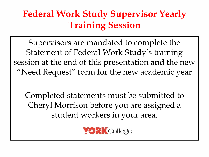### **Federal Work Study Supervisor Yearly Training Session**

Supervisors are mandated to complete the Statement of Federal Work Study's training session at the end of this presentation **and** the new "Need Request" form for the new academic year

Completed statements must be submitted to Cheryl Morrison before you are assigned a student workers in your area.

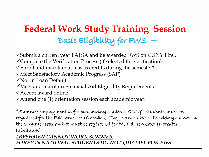#### Basic Eligibility for FWS —

Submit a current year FAFSA and be awarded FWS on CUNY First. Complete the Verification Process (if selected for verification)

 $\checkmark$ Enroll and maintain at least 6 credits during the semester\*.

Meet Satisfactory Academic Progress (SAP)

Not in Loan Default.

 $\checkmark$  Meet and maintain Financial Aid Eligibility Requirements.

Accept award online.

Attend one (1) orientation session each academic year.

\*Summer employment is for continuing students ONLY– students must be registered for the Fall semester (6 credits). They do not have to be taking classes in the Summer session but must be registered for the Fall semester (6 credits minimum)

*FRESHMEN CANNOT WORK SUMMER FOREIGN NATIONAL STUDENTS DO NOT QUALIFY FOR FWS*.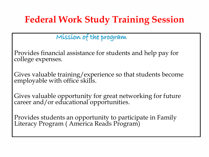#### Mission of the program

Provides financial assistance for students and help pay for college expenses.

Gives valuable training/experience so that students become employable with office skills.

Gives valuable opportunity for great networking for future career and/or educational opportunities.

Provides students an opportunity to participate in Family Literacy Program ( America Reads Program)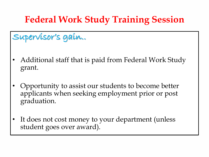#### Supervisor's gain..

- Additional staff that is paid from Federal Work Study grant.
- Opportunity to assist our students to become better applicants when seeking employment prior or post graduation.
- It does not cost money to your department (unless student goes over award).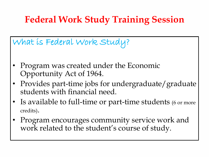What is Federal Work Study?

- Program was created under the Economic Opportunity Act of 1964.
- Provides part-time jobs for undergraduate/graduate students with financial need.
- Is available to full-time or part-time students (6 or more credits).
- Program encourages community service work and work related to the student's course of study.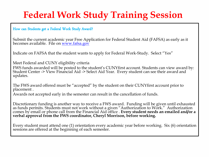How can Students get a Federal Work Study Award?

Submit the current academic year Free Application for Federal Student Aid (FAFSA) as early as it becomes available. File on [www.fafsa.gov](http://www.fafsa.gov/)

Indicate on FAFSA that the student wants to apply for Federal Work-Study. Select "Yes"

Meet Federal and CUNY eligibility criteria FWS funds awarded will be posted to the student's CUNYfirst account. Students can view award by: Student Center -> View Financial Aid -> Select Aid Year. Every student can see their award and updates.

The FWS award offered must be "accepted" by the student on their CUNYfirst account prior to placement .

Awards not accepted early in the semester can result in the cancellation of funds.

Discretionary funding is another way to receive a FWS award. Funding will be given until exhausted as funds permits. Students must not work without a given "Authorization to Work." Authorization comes by email or phone call from the Financial Aid office . **Every student needs an emailed and/or a verbal approval from the FWS coordinator, Cheryl Morrison, before working.** 

Every student must attend one (1) orientation every academic year before working. Six (6) orientation sessions are offered at the beginning of each semester.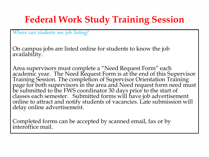Where can students see job listing?

On campus jobs are listed online for students to know the job availability.

Area supervisors must complete a "Need Request Form" each academic year. The Need Request Form is at the end of this Supervisor Training Session. The completion of Supervisor Orientation Training page for both supervisors in the area and Need request form need must be submitted to the FWS coordinator 30 days prior to the start of classes each semester. Submitted forms will have job advertisement online to attract and notify students of vacancies. Late submission will delay online advertisement.

Completed forms can be accepted by scanned email, fax or by interoffice mail.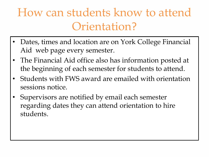### How can students know to attend Orientation?

- Dates, times and location are on York College Financial Aid web page every semester.
- The Financial Aid office also has information posted at the beginning of each semester for students to attend.
- Students with FWS award are emailed with orientation sessions notice.
- Supervisors are notified by email each semester regarding dates they can attend orientation to hire students.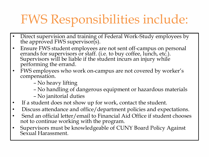# FWS Responsibilities include:

- Direct supervision and training of Federal Work-Study employees by the approved FWS supervisor(s).
- Ensure FWS student employees are not sent off-campus on personal errands for supervisors or staff. (i.e. to buy coffee, lunch, etc.). Supervisors will be liable if the student incurs an injury while performing the errand.
- FWS employees who work on-campus are not covered by worker's compensation.
	- No heavy lifting
	- No handling of dangerous equipment or hazardous materials
	- No janitorial duties
- If a student does not show up for work, contact the student.
- Discuss attendance and office/department policies and expectations.
- Send an official letter/email to Financial Aid Office if student chooses not to continue working with the program.
- Supervisors must be knowledgeable of CUNY Board Policy Against Sexual Harassment.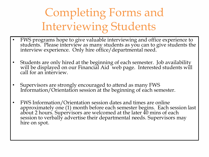## Completing Forms and Interviewing Students

- FWS programs hope to give valuable interviewing and office experience to students. Please interview as many students as you can to give students the interview experience. Only hire office/departmental need.
- Students are only hired at the beginning of each semester. Job availability will be displayed on our Financial Aid web page. Interested students will call for an interview.
- Supervisors are strongly encouraged to attend as many FWS Information/Orientation session at the beginning of each semester.
- FWS Information/Orientation session dates and times are online approximately one (1) month before each semester begins. Each session last about 2 hours. Supervisors are welcomed at the later 40 mins of each session to verbally advertise their departmental needs. Supervisors may hire on spot.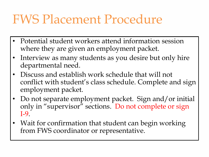### FWS Placement Procedure

- Potential student workers attend information session where they are given an employment packet.
- Interview as many students as you desire but only hire departmental need.
- Discuss and establish work schedule that will not conflict with student's class schedule. Complete and sign employment packet.
- Do not separate employment packet. Sign and/or initial only in "supervisor" sections. Do not complete or sign I-9.
- Wait for confirmation that student can begin working from FWS coordinator or representative.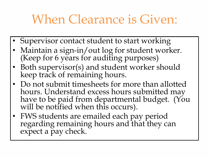### When Clearance is Given:

- Supervisor contact student to start working
- Maintain a sign-in/out log for student worker. (Keep for 6 years for auditing purposes)
- Both supervisor(s) and student worker should keep track of remaining hours.
- Do not submit timesheets for more than allotted hours. Understand excess hours submitted may have to be paid from departmental budget. (You will be notified when this occurs).
- FWS students are emailed each pay period regarding remaining hours and that they can expect a pay check.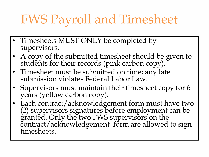# FWS Payroll and Timesheet

- Timesheets MUST ONLY be completed by supervisors.
- A copy of the submitted timesheet should be given to students for their records (pink carbon copy).
- Timesheet must be submitted on time; any late submission violates Federal Labor Law.
- Supervisors must maintain their timesheet copy for 6 years (yellow carbon copy).
- Each contract/acknowledgement form must have two (2) supervisors signatures before employment can be granted. Only the two FWS supervisors on the contract/acknowledgement form are allowed to sign timesheets.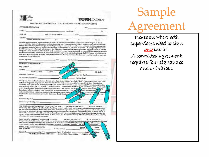| New York                                                                                                                                                                                                                                                                                                                                                                                                                                                                                                                                                                                                                                                                                                                                                                                                                                                                                                                                                                                                                                                                                                                                                                                                                                                                                                                                                                                               |  |                  | <b>PRK</b> College |                                                                                                    |                                                                                        |  |
|--------------------------------------------------------------------------------------------------------------------------------------------------------------------------------------------------------------------------------------------------------------------------------------------------------------------------------------------------------------------------------------------------------------------------------------------------------------------------------------------------------------------------------------------------------------------------------------------------------------------------------------------------------------------------------------------------------------------------------------------------------------------------------------------------------------------------------------------------------------------------------------------------------------------------------------------------------------------------------------------------------------------------------------------------------------------------------------------------------------------------------------------------------------------------------------------------------------------------------------------------------------------------------------------------------------------------------------------------------------------------------------------------------|--|------------------|--------------------|----------------------------------------------------------------------------------------------------|----------------------------------------------------------------------------------------|--|
|                                                                                                                                                                                                                                                                                                                                                                                                                                                                                                                                                                                                                                                                                                                                                                                                                                                                                                                                                                                                                                                                                                                                                                                                                                                                                                                                                                                                        |  |                  |                    | FEDERAL WORK STUDY PROGRAM STUDENT/EMPLOYER ACKNOWLEDGMENTS                                        |                                                                                        |  |
| STUDENT INFORMATION                                                                                                                                                                                                                                                                                                                                                                                                                                                                                                                                                                                                                                                                                                                                                                                                                                                                                                                                                                                                                                                                                                                                                                                                                                                                                                                                                                                    |  |                  |                    |                                                                                                    | Date: 1980                                                                             |  |
| Lost Name                                                                                                                                                                                                                                                                                                                                                                                                                                                                                                                                                                                                                                                                                                                                                                                                                                                                                                                                                                                                                                                                                                                                                                                                                                                                                                                                                                                              |  |                  | - First Name       | $\label{eq:2.1} \begin{array}{ll} \mathcal{L}_{\text{max}} & \mathcal{L}_{\text{max}} \end{array}$ | $-50^\circ$                                                                            |  |
| EMPL. IDS: LAST 4 126713-38 2006/06                                                                                                                                                                                                                                                                                                                                                                                                                                                                                                                                                                                                                                                                                                                                                                                                                                                                                                                                                                                                                                                                                                                                                                                                                                                                                                                                                                    |  |                  |                    | Cellin Communication                                                                               |                                                                                        |  |
| ADORESS                                                                                                                                                                                                                                                                                                                                                                                                                                                                                                                                                                                                                                                                                                                                                                                                                                                                                                                                                                                                                                                                                                                                                                                                                                                                                                                                                                                                |  |                  |                    |                                                                                                    |                                                                                        |  |
| <b>Residence Number Street Address:</b><br>I certify by my signature below that I have seed and understand the rules and policies for the Federal Wock Study ("FWS") Program that I have                                                                                                                                                                                                                                                                                                                                                                                                                                                                                                                                                                                                                                                                                                                                                                                                                                                                                                                                                                                                                                                                                                                                                                                                               |  | <b>ApLB</b>      | a,                 |                                                                                                    | Zie Code                                                                               |  |
| three (and creative or muses) on af I am working in the FWS Program during the scenmen, will be envolved at least helf time in the Fall semester; and that I<br>on maintaining intisfactory academic progress toward my degree. I understand that If I drop below six (6) media, I am no longer eligible to work for<br>the PWR Program, and I will promptly inform my supervisor if this occurs. I understand that I am not authorized to work any bours that are in excess.<br>of my FWS awerd, since there will not be FWS funds available to pay me. I recognize that it is my responsibility to maintain records as<br>that I will not exceed the award amount. I also understand that my work-endy earnings through the PWS Pregram constitute taxable<br>income that must be reported on indenti, state and rity tax returns. Finally, I understand that I am not permitted to perform my work<br>study duties during class hours.                                                                                                                                                                                                                                                                                                                                                                                                                                                              |  |                  |                    |                                                                                                    |                                                                                        |  |
|                                                                                                                                                                                                                                                                                                                                                                                                                                                                                                                                                                                                                                                                                                                                                                                                                                                                                                                                                                                                                                                                                                                                                                                                                                                                                                                                                                                                        |  |                  |                    |                                                                                                    |                                                                                        |  |
| <b>SUPERVISOR INFORMATION</b>                                                                                                                                                                                                                                                                                                                                                                                                                                                                                                                                                                                                                                                                                                                                                                                                                                                                                                                                                                                                                                                                                                                                                                                                                                                                                                                                                                          |  |                  |                    |                                                                                                    |                                                                                        |  |
| Dept./Agency                                                                                                                                                                                                                                                                                                                                                                                                                                                                                                                                                                                                                                                                                                                                                                                                                                                                                                                                                                                                                                                                                                                                                                                                                                                                                                                                                                                           |  |                  | <b>Build</b>       |                                                                                                    |                                                                                        |  |
| Address:<br>Student Address                                                                                                                                                                                                                                                                                                                                                                                                                                                                                                                                                                                                                                                                                                                                                                                                                                                                                                                                                                                                                                                                                                                                                                                                                                                                                                                                                                            |  |                  |                    |                                                                                                    |                                                                                        |  |
| Supervisor Print Name                                                                                                                                                                                                                                                                                                                                                                                                                                                                                                                                                                                                                                                                                                                                                                                                                                                                                                                                                                                                                                                                                                                                                                                                                                                                                                                                                                                  |  | Room             |                    | Bulan                                                                                              | Zip Code                                                                               |  |
|                                                                                                                                                                                                                                                                                                                                                                                                                                                                                                                                                                                                                                                                                                                                                                                                                                                                                                                                                                                                                                                                                                                                                                                                                                                                                                                                                                                                        |  |                  |                    |                                                                                                    |                                                                                        |  |
| Alt. Supervisor Print Name                                                                                                                                                                                                                                                                                                                                                                                                                                                                                                                                                                                                                                                                                                                                                                                                                                                                                                                                                                                                                                                                                                                                                                                                                                                                                                                                                                             |  | "Tel.            |                    | Supervisor Broats<br>Alt Sup Email                                                                 |                                                                                        |  |
| I certify that I have reed and understand the rules and policies for the Federal Work Study ("FWS") Program, and I agree to adhere in<br>these rules and policies. I agree to hire the student identified above for the hour specified below, and I will allow the sindern no<br>continue to work, provided the student performs his/her tasks satisfacturily, until he/site exces the full FWS award or until the date<br>specified below as the "Last Day of Work." I understand that if a student works more than his/ber award allows. I will be responsible to pay the student houn the funds of my department or agency. I will maintain and sultmi<br>understand that federal regulations etipulate that students must receive timely pool<br>be returned to me and may dalay payment to the student. Finally, I undersur-<br>hours.                                                                                                                                                                                                                                                                                                                                                                                                                                                                                                                                                            |  |                  |                    |                                                                                                    | The the published designed and the state of<br><b>Uowed</b> to wo<br><b>V</b> ig class |  |
| Supervisor Signature                                                                                                                                                                                                                                                                                                                                                                                                                                                                                                                                                                                                                                                                                                                                                                                                                                                                                                                                                                                                                                                                                                                                                                                                                                                                                                                                                                                   |  |                  |                    |                                                                                                    |                                                                                        |  |
| Alternate Supervisor Signature                                                                                                                                                                                                                                                                                                                                                                                                                                                                                                                                                                                                                                                                                                                                                                                                                                                                                                                                                                                                                                                                                                                                                                                                                                                                                                                                                                         |  |                  |                    | Date:                                                                                              |                                                                                        |  |
|                                                                                                                                                                                                                                                                                                                                                                                                                                                                                                                                                                                                                                                                                                                                                                                                                                                                                                                                                                                                                                                                                                                                                                                                                                                                                                                                                                                                        |  |                  |                    |                                                                                                    | ALT. SLIP. INIITALS<br>ALT, SUP. INITIALS:<br>py of this document                      |  |
| NON-DISCRIMINATION STATEMENT: FWS STUDENT INITIALS: ______ PRIMARY SUP, INITIALS:<br>It is the policy of The City University of New York & York College to secrals, employ, retain, provoic and provide benefits to employees and to admit<br>and provide services for students without regard to race, color, creed, national neight, ethnicity, anosoty, religion, age, sex, sevant orientation, genote.<br>identity, mortal status legally regissued domestic permerably status, districtity, predisposing genetic characteristics, alienage, citizenship, pulltary or<br>veteran antors, or status as a victim of domestic violence. Sexual harmoment, a form of sex discrimination, is also profibited. Inquirms expecting the<br>College's non-discrimination policies can be directed to: Allicia Franqui, Eaq., Interim Chiad Divarsity OfficerTifle DC Countinator: Recen- AC 2H94.<br>cell: 716-242-2137; amule afrangui@vork.curry.edu.<br>We agree and understand the durins outlined on this firms are the activities needed to fulfill this component for the PNS Program. Any changes must be<br>mode in writing and signed off by the student and supervisor (s). We understand that the IWS student must rece<br>revised versions. Pending approval by the FWS Coordinator or datagree for compliance perpease of CUNY and<br>FOR FINANCIAL AID DIVICE USE ONLY<br>First Day to Wrete |  | Let Date to Week |                    | Summer<br><b>FWS Away</b>                                                                          | La Regulations.<br>Spring:                                                             |  |

## Sample Agreement

Please see where both supervisors need to sign and initial. A completed agreement requires four signatures and or initials.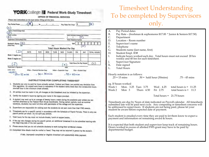| <b>YORK</b> College <b>M</b> Federal Work-Study Timesheet |
|-----------------------------------------------------------|
| <b>OFFICE OF FINANCIAL SERVICES</b>                       |

| Pay Period From:                              |                                                                                                           |                        | $\frac{1}{2}$ |             |                                 | Pay Rate Per Hour                     | 1\$                   |                                              | (B)                |
|-----------------------------------------------|-----------------------------------------------------------------------------------------------------------|------------------------|---------------|-------------|---------------------------------|---------------------------------------|-----------------------|----------------------------------------------|--------------------|
| $\mathcal{C}$                                 |                                                                                                           |                        |               |             |                                 |                                       |                       |                                              |                    |
| Agency Name/College Dapt.<br>D                |                                                                                                           |                        |               |             |                                 | é.                                    |                       |                                              |                    |
| Work Location<br>E.                           |                                                                                                           |                        |               |             |                                 |                                       |                       | Work Addmss (If alliwent from location)<br>F |                    |
| Supervisor's Name Passa Paid                  |                                                                                                           |                        |               |             |                                 |                                       | Work Telephone Number |                                              |                    |
| Student's Name: (G)<br>(Please Print)<br>Last |                                                                                                           |                        |               |             |                                 | 1D#                                   |                       |                                              |                    |
|                                               |                                                                                                           |                        |               | Pint        |                                 | <b>Total Hours Worked Per Day</b>     |                       | (H                                           |                    |
| $\mathbb{D}$                                  | DATE                                                                                                      | SUN                    | MON           | <b>TUES</b> | WED                             | <b>THURS</b>                          | FRI                   | SAT                                          | <b>TOTAL HOURS</b> |
| Week 1 begins on:                             |                                                                                                           |                        |               |             |                                 |                                       |                       |                                              |                    |
| Week 2 begins on:                             |                                                                                                           |                        |               |             |                                 |                                       |                       |                                              |                    |
| $\mathbf{J}$                                  |                                                                                                           |                        |               |             | (K)                             |                                       |                       | <b>Total Hours Per Pay Period:</b>           | (1)                |
| Supervisor's Signature                        |                                                                                                           |                        |               |             |                                 | Date                                  |                       |                                              |                    |
| 11/2012 346-14                                | White - Financial Services Copy                                                                           |                        |               |             | <b>Vallow - Supervisor Copy</b> |                                       | Pink - Student Copy   |                                              |                    |
| NOTE:<br>$.25 = 15$ mins                      |                                                                                                           | $.50 = 30 \text{ m/s}$ |               |             |                                 | $-75 = 45$ mus                        |                       |                                              |                    |
|                                               |                                                                                                           |                        |               |             |                                 | INSTRUCTIONS FOR COMPLETING TIMESHEET |                       |                                              |                    |
|                                               | 1. Students can only be paid for hours actually worked. Federal and State Law prohibit any deviation from |                        |               |             |                                 |                                       |                       |                                              |                    |

- this regulation. An unpaid work break is mandatory if the student works more than five consecutive hours: one-half hour is the minimum break allowed.
- 2. All entries must be made in ink; all changes on the timesheet must be initiated by the supervisor.
- 3. Certify the student's hours by signing your name in the space provided.
- 4. A student may work up to an average of twenty hours a week during the academic year unless you are notified otherwise by the Federal Work Study Coordinator. During certain periods, such as summer vacations, students may work full-time with permission of the college and the supervisor.
- 5. Supervisors are responsible for making sure the students do not earn more than their FWS awards.
- 6. Timesheets are for a specific period in accordance with the Schedule of Payroll Periods. There is only one payroll period per sheet. Do not split pay periods.
- 7. Total hours for the day must not include breaks, lunch or supper breaks.
- If the pay rate changes during the payroll period, an additional timesheet is to be submitted starting with 8. the beginning date of the new payrate.
- 9. Please ensure that you do not schedule students to work during their scheduled classes.
- 10. Completed time sheets must be mailed or faxed. They may not be returned in person by the student.

A late, improperly completed or illegible timesheet will substantially delay payment.

#### Timesheet Understanding To be completed by Supervisors only.

- A. Pay Period dates
- B. Pay Rate (freshman & sophomores \$17.00 \* Junior & Seniors \$17.50)
- C. Department
- D. Location Room number
- E. Supervisor's name
- F. Telephone
- G. Students name (last name, first)
- H. Student Empl. ID#
- I. Indicate hours worked each day. Total hours must not exceed 20 hrs weekly and 40 hrs for each timesheet.
- J. Supervisor Signature
- K. Date signed
- L. Total Hours

Hourly notation is as follows:<br> $25 = 15 \text{ mins}$  50

|  | ว = 15 mins | $.50 = \text{hald}$ |  |
|--|-------------|---------------------|--|
|  |             |                     |  |

 $\therefore$  hald hour (30mins) .75 – 45 mins

eg. If Susan worked

|              |                     | Week 1 Mon. $3.25$ Tues $3.75$ Wed. $4.25$ total hours is $= 11.25$ |  |
|--------------|---------------------|---------------------------------------------------------------------|--|
| Week 2 Mon 3 | Thurs 4.50 Fri 2.75 | total hours is $=$ 11.3                                             |  |

Total hours = 21.75 hours

Timesheets are due by Noon of date indicated on Payroll calendar. All timesheets submitted late will be paid next cycle. Any computing or timesheet concerns will be addressed to supervisors. If students are not being paid, please let your student be aware before expected date of payment.

Each student is emailed every time they are paid to let them know to expect a payment and information on remaining award & hours.

It is expected that both student and supervisor keep track of remaining hours. Hours worked in excess of allotted FWS grant may have to be paid by departmental budget.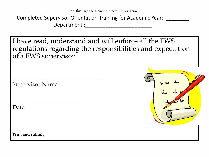Completed Supervisor Orientation Training for Academic Year: \_\_\_\_\_\_\_\_ Department :

I have read, understand and will enforce all the FWS regulations regarding the responsibilities and expectation of a FWS supervisor.

Supervisor Name

 $\frac{1}{2}$  ,  $\frac{1}{2}$  ,  $\frac{1}{2}$  ,  $\frac{1}{2}$  ,  $\frac{1}{2}$  ,  $\frac{1}{2}$  ,  $\frac{1}{2}$  ,  $\frac{1}{2}$  ,  $\frac{1}{2}$  ,  $\frac{1}{2}$  ,  $\frac{1}{2}$  ,  $\frac{1}{2}$  ,  $\frac{1}{2}$  ,  $\frac{1}{2}$  ,  $\frac{1}{2}$  ,  $\frac{1}{2}$  ,  $\frac{1}{2}$  ,  $\frac{1}{2}$  ,  $\frac{1$ 

\_\_\_\_\_\_\_\_\_\_\_\_\_\_\_\_\_\_\_\_\_\_\_\_

Date



**Print and submit**